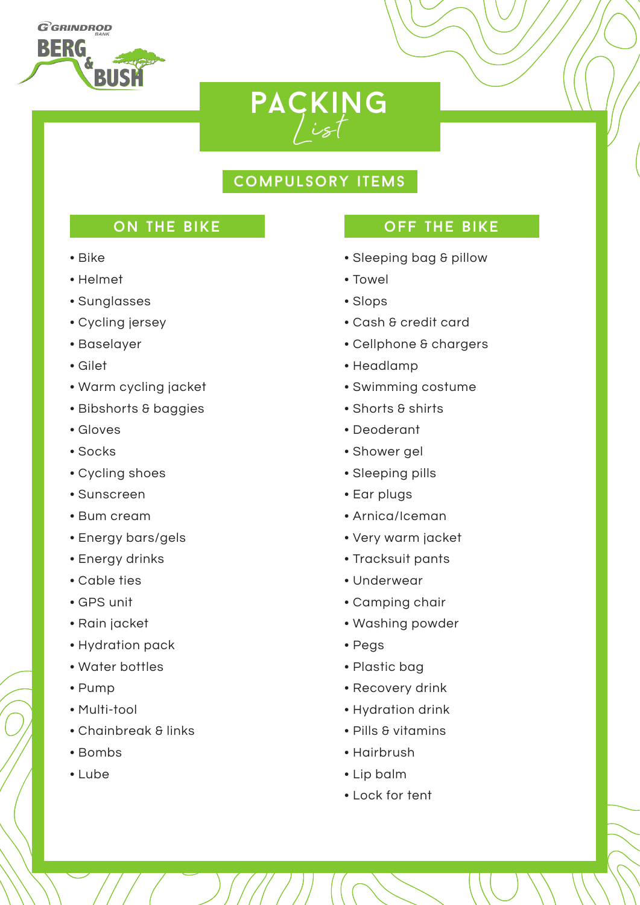**GGRINDROD BERG** 



## compulsory items

## ON THE BIKE

- Bike
- Helmet
- Sunglasses
- Cycling jersey
- Baselayer
- Gilet
- Warm cycling jacket
- Bibshorts & baggies
- Gloves
- Socks
- Cycling shoes
- Sunscreen
- Bum cream
- Energy bars/gels
- Energy drinks
- Cable ties
- GPS unit
- Rain jacket
- Hydration pack
- Water bottles
- Pump
- Multi-tool
- Chainbreak & links
- Bombs
- Lube

## off the bike

- Sleeping bag & pillow
- Towel
- Slops
- Cash & credit card
- Cellphone & chargers
- Headlamp
- Swimming costume
- Shorts & shirts
- Deoderant
- Shower gel
- Sleeping pills
- Ear plugs
- Arnica/Iceman
- Very warm jacket
- Tracksuit pants
- Underwear
- Camping chair
- Washing powder
- Pegs
- Plastic bag
- Recovery drink
- Hydration drink
- Pills & vitamins
- Hairbrush
- Lip balm
- Lock for tent